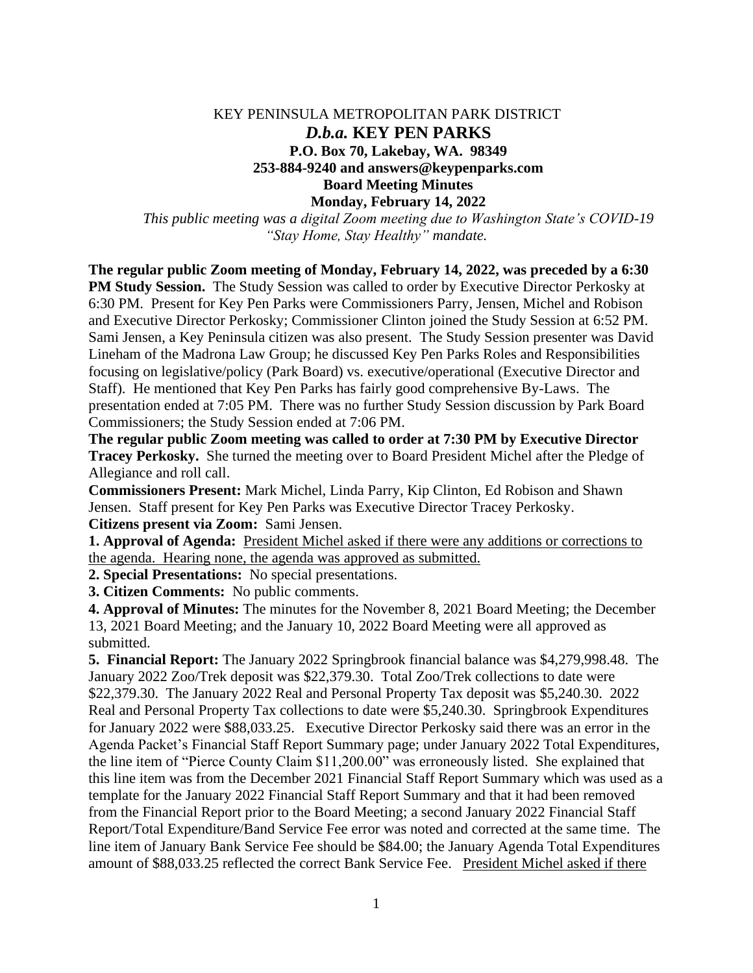## KEY PENINSULA METROPOLITAN PARK DISTRICT *D.b.a.* **KEY PEN PARKS P.O. Box 70, Lakebay, WA. 98349 253-884-9240 and answers@keypenparks.com Board Meeting Minutes Monday, February 14, 2022**

*This public meeting was a digital Zoom meeting due to Washington State's COVID-19 "Stay Home, Stay Healthy" mandate.*

**The regular public Zoom meeting of Monday, February 14, 2022, was preceded by a 6:30** 

**PM Study Session.** The Study Session was called to order by Executive Director Perkosky at 6:30 PM. Present for Key Pen Parks were Commissioners Parry, Jensen, Michel and Robison and Executive Director Perkosky; Commissioner Clinton joined the Study Session at 6:52 PM. Sami Jensen, a Key Peninsula citizen was also present. The Study Session presenter was David Lineham of the Madrona Law Group; he discussed Key Pen Parks Roles and Responsibilities focusing on legislative/policy (Park Board) vs. executive/operational (Executive Director and Staff). He mentioned that Key Pen Parks has fairly good comprehensive By-Laws. The presentation ended at 7:05 PM. There was no further Study Session discussion by Park Board Commissioners; the Study Session ended at 7:06 PM.

**The regular public Zoom meeting was called to order at 7:30 PM by Executive Director Tracey Perkosky.** She turned the meeting over to Board President Michel after the Pledge of Allegiance and roll call.

**Commissioners Present:** Mark Michel, Linda Parry, Kip Clinton, Ed Robison and Shawn Jensen. Staff present for Key Pen Parks was Executive Director Tracey Perkosky. **Citizens present via Zoom:** Sami Jensen.

**1. Approval of Agenda:** President Michel asked if there were any additions or corrections to the agenda. Hearing none, the agenda was approved as submitted.

**2. Special Presentations:** No special presentations.

**3. Citizen Comments:** No public comments.

**4. Approval of Minutes:** The minutes for the November 8, 2021 Board Meeting; the December 13, 2021 Board Meeting; and the January 10, 2022 Board Meeting were all approved as submitted.

**5. Financial Report:** The January 2022 Springbrook financial balance was \$4,279,998.48. The January 2022 Zoo/Trek deposit was \$22,379.30. Total Zoo/Trek collections to date were \$22,379.30. The January 2022 Real and Personal Property Tax deposit was \$5,240.30. 2022 Real and Personal Property Tax collections to date were \$5,240.30. Springbrook Expenditures for January 2022 were \$88,033.25. Executive Director Perkosky said there was an error in the Agenda Packet's Financial Staff Report Summary page; under January 2022 Total Expenditures, the line item of "Pierce County Claim \$11,200.00" was erroneously listed. She explained that this line item was from the December 2021 Financial Staff Report Summary which was used as a template for the January 2022 Financial Staff Report Summary and that it had been removed from the Financial Report prior to the Board Meeting; a second January 2022 Financial Staff Report/Total Expenditure/Band Service Fee error was noted and corrected at the same time. The line item of January Bank Service Fee should be \$84.00; the January Agenda Total Expenditures amount of \$88,033.25 reflected the correct Bank Service Fee. President Michel asked if there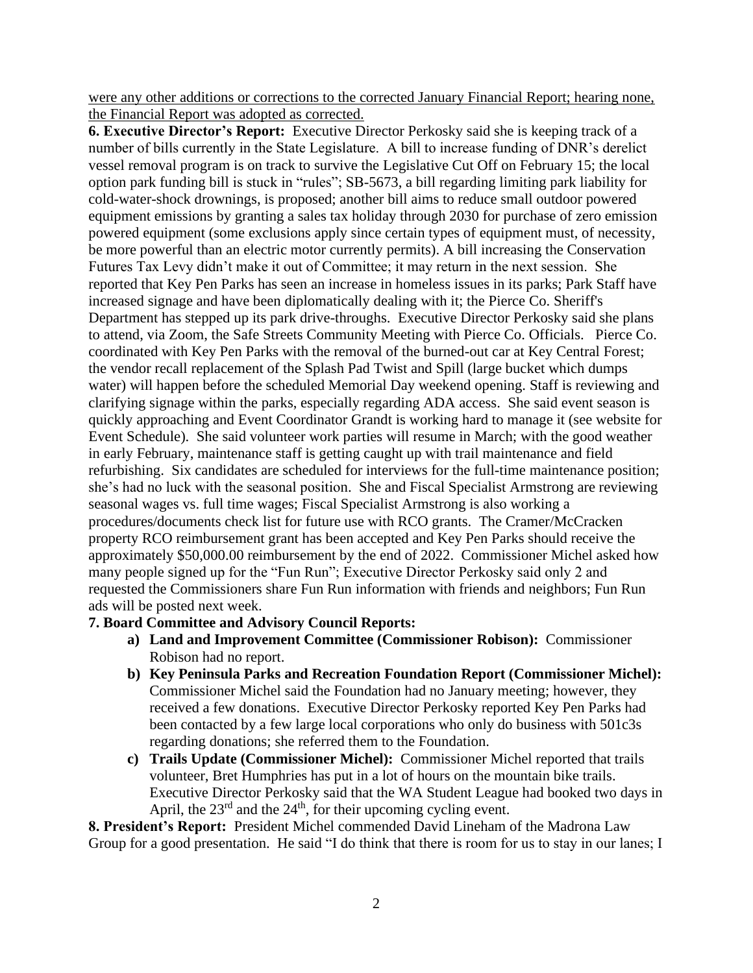were any other additions or corrections to the corrected January Financial Report; hearing none, the Financial Report was adopted as corrected.

**6. Executive Director's Report:** Executive Director Perkosky said she is keeping track of a number of bills currently in the State Legislature. A bill to increase funding of DNR's derelict vessel removal program is on track to survive the Legislative Cut Off on February 15; the local option park funding bill is stuck in "rules"; SB-5673, a bill regarding limiting park liability for cold-water-shock drownings, is proposed; another bill aims to reduce small outdoor powered equipment emissions by granting a sales tax holiday through 2030 for purchase of zero emission powered equipment (some exclusions apply since certain types of equipment must, of necessity, be more powerful than an electric motor currently permits). A bill increasing the Conservation Futures Tax Levy didn't make it out of Committee; it may return in the next session. She reported that Key Pen Parks has seen an increase in homeless issues in its parks; Park Staff have increased signage and have been diplomatically dealing with it; the Pierce Co. Sheriff's Department has stepped up its park drive-throughs. Executive Director Perkosky said she plans to attend, via Zoom, the Safe Streets Community Meeting with Pierce Co. Officials. Pierce Co. coordinated with Key Pen Parks with the removal of the burned-out car at Key Central Forest; the vendor recall replacement of the Splash Pad Twist and Spill (large bucket which dumps water) will happen before the scheduled Memorial Day weekend opening. Staff is reviewing and clarifying signage within the parks, especially regarding ADA access. She said event season is quickly approaching and Event Coordinator Grandt is working hard to manage it (see website for Event Schedule). She said volunteer work parties will resume in March; with the good weather in early February, maintenance staff is getting caught up with trail maintenance and field refurbishing. Six candidates are scheduled for interviews for the full-time maintenance position; she's had no luck with the seasonal position. She and Fiscal Specialist Armstrong are reviewing seasonal wages vs. full time wages; Fiscal Specialist Armstrong is also working a procedures/documents check list for future use with RCO grants. The Cramer/McCracken property RCO reimbursement grant has been accepted and Key Pen Parks should receive the approximately \$50,000.00 reimbursement by the end of 2022. Commissioner Michel asked how many people signed up for the "Fun Run"; Executive Director Perkosky said only 2 and requested the Commissioners share Fun Run information with friends and neighbors; Fun Run ads will be posted next week.

## **7. Board Committee and Advisory Council Reports:**

- **a) Land and Improvement Committee (Commissioner Robison):** Commissioner Robison had no report.
- **b) Key Peninsula Parks and Recreation Foundation Report (Commissioner Michel):** Commissioner Michel said the Foundation had no January meeting; however, they received a few donations. Executive Director Perkosky reported Key Pen Parks had been contacted by a few large local corporations who only do business with 501c3s regarding donations; she referred them to the Foundation.
- **c) Trails Update (Commissioner Michel):** Commissioner Michel reported that trails volunteer, Bret Humphries has put in a lot of hours on the mountain bike trails. Executive Director Perkosky said that the WA Student League had booked two days in April, the  $23<sup>rd</sup>$  and the  $24<sup>th</sup>$ , for their upcoming cycling event.

**8. President's Report:** President Michel commended David Lineham of the Madrona Law Group for a good presentation. He said "I do think that there is room for us to stay in our lanes; I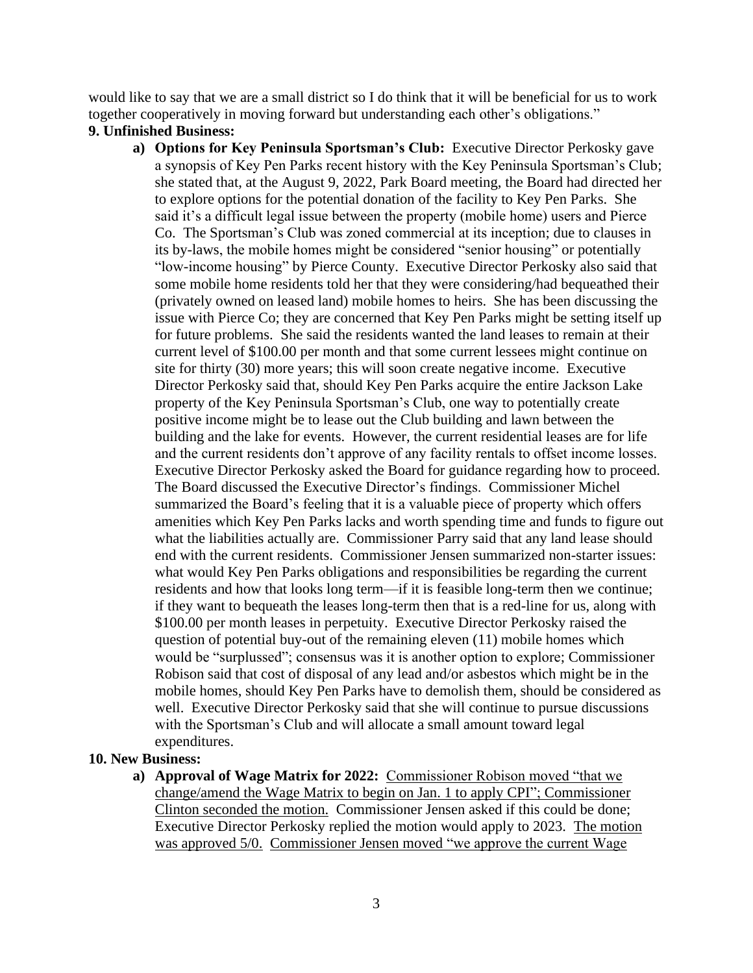would like to say that we are a small district so I do think that it will be beneficial for us to work together cooperatively in moving forward but understanding each other's obligations."

## **9. Unfinished Business:**

**a) Options for Key Peninsula Sportsman's Club:** Executive Director Perkosky gave a synopsis of Key Pen Parks recent history with the Key Peninsula Sportsman's Club; she stated that, at the August 9, 2022, Park Board meeting, the Board had directed her to explore options for the potential donation of the facility to Key Pen Parks. She said it's a difficult legal issue between the property (mobile home) users and Pierce Co. The Sportsman's Club was zoned commercial at its inception; due to clauses in its by-laws, the mobile homes might be considered "senior housing" or potentially "low-income housing" by Pierce County. Executive Director Perkosky also said that some mobile home residents told her that they were considering/had bequeathed their (privately owned on leased land) mobile homes to heirs. She has been discussing the issue with Pierce Co; they are concerned that Key Pen Parks might be setting itself up for future problems. She said the residents wanted the land leases to remain at their current level of \$100.00 per month and that some current lessees might continue on site for thirty (30) more years; this will soon create negative income. Executive Director Perkosky said that, should Key Pen Parks acquire the entire Jackson Lake property of the Key Peninsula Sportsman's Club, one way to potentially create positive income might be to lease out the Club building and lawn between the building and the lake for events. However, the current residential leases are for life and the current residents don't approve of any facility rentals to offset income losses. Executive Director Perkosky asked the Board for guidance regarding how to proceed. The Board discussed the Executive Director's findings. Commissioner Michel summarized the Board's feeling that it is a valuable piece of property which offers amenities which Key Pen Parks lacks and worth spending time and funds to figure out what the liabilities actually are. Commissioner Parry said that any land lease should end with the current residents. Commissioner Jensen summarized non-starter issues: what would Key Pen Parks obligations and responsibilities be regarding the current residents and how that looks long term—if it is feasible long-term then we continue; if they want to bequeath the leases long-term then that is a red-line for us, along with \$100.00 per month leases in perpetuity. Executive Director Perkosky raised the question of potential buy-out of the remaining eleven (11) mobile homes which would be "surplussed"; consensus was it is another option to explore; Commissioner Robison said that cost of disposal of any lead and/or asbestos which might be in the mobile homes, should Key Pen Parks have to demolish them, should be considered as well. Executive Director Perkosky said that she will continue to pursue discussions with the Sportsman's Club and will allocate a small amount toward legal expenditures.

## **10. New Business:**

**a) Approval of Wage Matrix for 2022:** Commissioner Robison moved "that we change/amend the Wage Matrix to begin on Jan. 1 to apply CPI"; Commissioner Clinton seconded the motion. Commissioner Jensen asked if this could be done; Executive Director Perkosky replied the motion would apply to 2023. The motion was approved 5/0. Commissioner Jensen moved "we approve the current Wage